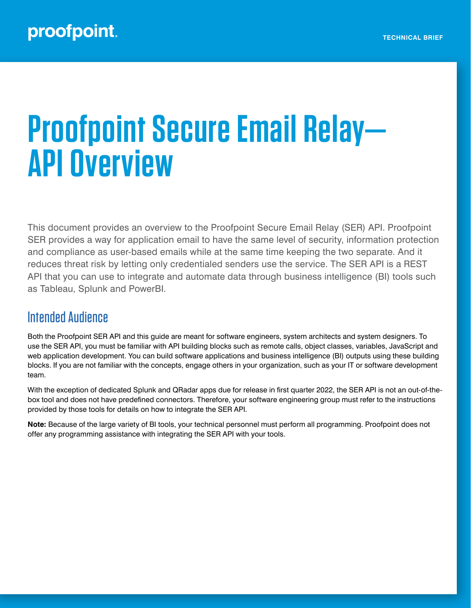# **Proofpoint Secure Email Relay— API Overview**

This document provides an overview to the Proofpoint Secure Email Relay (SER) API. Proofpoint SER provides a way for application email to have the same level of security, information protection and compliance as user-based emails while at the same time keeping the two separate. And it reduces threat risk by letting only credentialed senders use the service. The SER API is a REST API that you can use to integrate and automate data through business intelligence (BI) tools such as Tableau, Splunk and PowerBI.

# Intended Audience

Both the Proofpoint SER API and this guide are meant for software engineers, system architects and system designers. To use the SER API, you must be familiar with API building blocks such as remote calls, object classes, variables, JavaScript and web application development. You can build software applications and business intelligence (BI) outputs using these building blocks. If you are not familiar with the concepts, engage others in your organization, such as your IT or software development team.

With the exception of dedicated Splunk and QRadar apps due for release in first quarter 2022, the SER API is not an out-of-thebox tool and does not have predefined connectors. Therefore, your software engineering group must refer to the instructions provided by those tools for details on how to integrate the SER API.

**Note:** Because of the large variety of BI tools, your technical personnel must perform all programming. Proofpoint does not offer any programming assistance with integrating the SER API with your tools.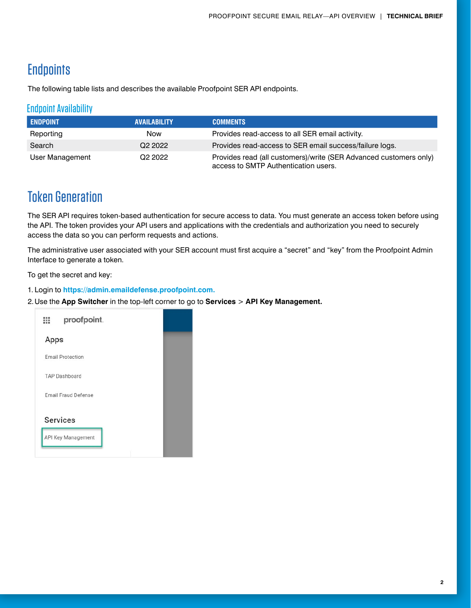# **Endpoints**

The following table lists and describes the available Proofpoint SER API endpoints.

## Endpoint Availability

| <b>ENDPOINT</b> | <b>AVAILABILITY</b> | <b>COMMENTS</b>                                                                                           |
|-----------------|---------------------|-----------------------------------------------------------------------------------------------------------|
| Reporting       | <b>Now</b>          | Provides read-access to all SER email activity.                                                           |
| Search          | Q <sub>2</sub> 2022 | Provides read-access to SER email success/failure logs.                                                   |
| User Management | Q <sub>2</sub> 2022 | Provides read (all customers)/write (SER Advanced customers only)<br>access to SMTP Authentication users. |

# Token Generation

The SER API requires token-based authentication for secure access to data. You must generate an access token before using the API. The token provides your API users and applications with the credentials and authorization you need to securely access the data so you can perform requests and actions.

The administrative user associated with your SER account must first acquire a "secret" and "key" from the Proofpoint Admin Interface to generate a token.

To get the secret and key:

- 1. Login to **https://admin.emaildefense.proofpoint.com.**
- 2.Use the **App Switcher** in the top-left corner to go to **Services** > **API Key Management.**

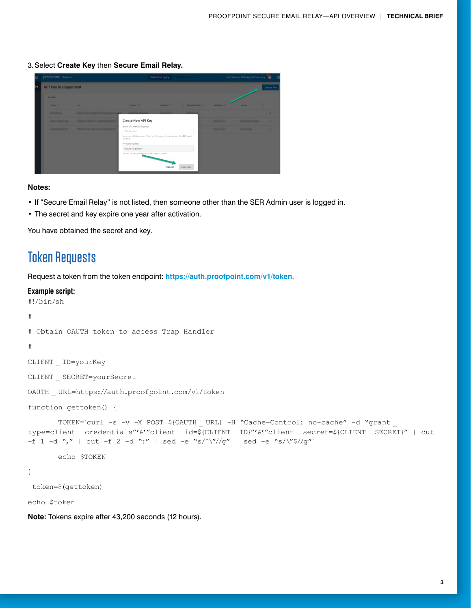3.Select **Create Key** then **Secure Email Relay.**

|   | proofpoint. Services                                    |                                                         |                                                | Switch to Legacy<br>McKingey & Constants                              |                           | Ash Valeski, McKinsey & Company<br>P |                                     |   |  |
|---|---------------------------------------------------------|---------------------------------------------------------|------------------------------------------------|-----------------------------------------------------------------------|---------------------------|--------------------------------------|-------------------------------------|---|--|
| ⊶ |                                                         | <b>API Key Management</b><br>Create Key                 |                                                |                                                                       |                           |                                      |                                     |   |  |
|   | 3 results                                               |                                                         |                                                |                                                                       |                           |                                      |                                     |   |  |
|   | Name of                                                 | Kity                                                    | Product pr                                     | Created an                                                            | <b>Exploration Date 4</b> | taxtused in                          | Creator                             |   |  |
|   | <b>START OF THE OWNER.</b>                              | <b>STATISTICS</b>                                       |                                                |                                                                       | <b>STEWART OF</b>         |                                      |                                     |   |  |
|   | <b>Bandale March 200</b>                                | <b><i>COMMENT CONTINUES IN THE COMMENT COMMENT.</i></b> | <b>Create New API Key</b>                      |                                                                       |                           | <b>STATISTICS</b>                    | <b><i>Property and Contract</i></b> |   |  |
|   | <b><i><u>Standard Standard Committee States</u></i></b> | <b>STARTING THE THAT SURVEY FOR STANDARD</b>            | Name This API Key (required)<br>Please enter   |                                                                       |                           | <b>MARKET</b>                        | <b><i><u>Stationary</u></i></b>     | ÷ |  |
|   |                                                         |                                                         | created.                                       | Maximum 50 characters. You cannot change the name once the API key is |                           |                                      |                                     |   |  |
|   |                                                         |                                                         | Product (required)                             |                                                                       |                           |                                      |                                     |   |  |
|   |                                                         |                                                         | Secure Email Relay                             |                                                                       |                           |                                      |                                     |   |  |
|   |                                                         |                                                         | Cannot be changed once the API key is created. | Cancel                                                                | Generate                  |                                      |                                     |   |  |

#### **Notes:**

- If "Secure Email Relay" is not listed, then someone other than the SER Admin user is logged in.
- The secret and key expire one year after activation.

You have obtained the secret and key.

## Token Requests

Request a token from the token endpoint: **https://auth.proofpoint.com/v1/token**.

#### **Example script:**

```
#!/bin/sh
#
# Obtain OAUTH token to access Trap Handler
#
CLIENT _ ID=yourKey
CLIENT _ SECRET=yourSecret
OAUTH _ URL=https://auth.proofpoint.com/v1/token
function gettoken() {
       TOKEN=`curl -s -v -X POST ${OAUTH URL} -H "Cache-Control: no-cache" -d "grant
type=client credentials"'&'"client id=${CLIENT ID}"'&'"client secret=${CLIENT SECRET}" | cut
-f 1 -d "," | cut -f 2 -d ":" | sed -e "s/\frac{\sqrt{y}}{\sqrt{y}} | sed -e "s/\frac{\sqrt{y}}{\sqrt{y}}"
        echo $TOKEN
}
  token=$(gettoken)
echo $token
```
**Note:** Tokens expire after 43,200 seconds (12 hours).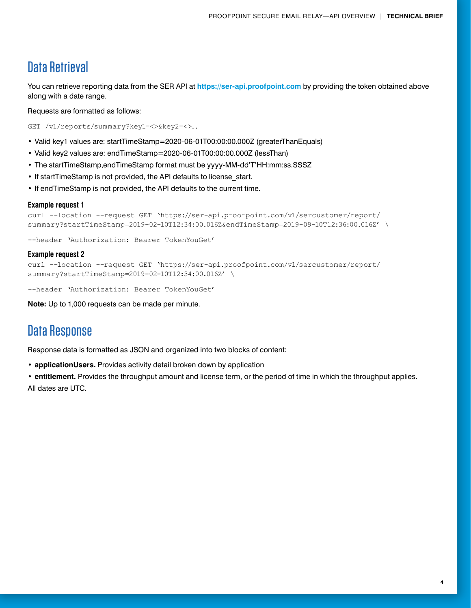## Data Retrieval

You can retrieve reporting data from the SER API at **https://ser-api.proofpoint.com** by providing the token obtained above along with a date range.

Requests are formatted as follows:

GET /v1/reports/summary?key1=<>&key2=<>..

- Valid key1 values are: startTimeStamp=2020-06-01T00:00:00.000Z (greaterThanEquals)
- Valid key2 values are: endTimeStamp=2020-06-01T00:00:00.000Z (lessThan)
- The startTimeStamp,endTimeStamp format must be yyyy-MM-dd'T'HH:mm:ss.SSSZ
- If startTimeStamp is not provided, the API defaults to license\_start.
- If endTimeStamp is not provided, the API defaults to the current time.

#### **Example request 1**

```
curl --location --request GET 'https://ser-api.proofpoint.com/v1/sercustomer/report/
summary?startTimeStamp=2019-02-10T12:34:00.016Z&endTimeStamp=2019-09-10T12:36:00.016Z' \
```
--header 'Authorization: Bearer TokenYouGet'

#### **Example request 2**

curl --location --request GET 'https://ser-api.proofpoint.com/v1/sercustomer/report/ summary?startTimeStamp=2019-02-10T12:34:00.016Z' \

--header 'Authorization: Bearer TokenYouGet'

**Note:** Up to 1,000 requests can be made per minute.

# Data Response

Response data is formatted as JSON and organized into two blocks of content:

**• applicationUsers.** Provides activity detail broken down by application

**• entitlement.** Provides the throughput amount and license term, or the period of time in which the throughput applies. All dates are UTC.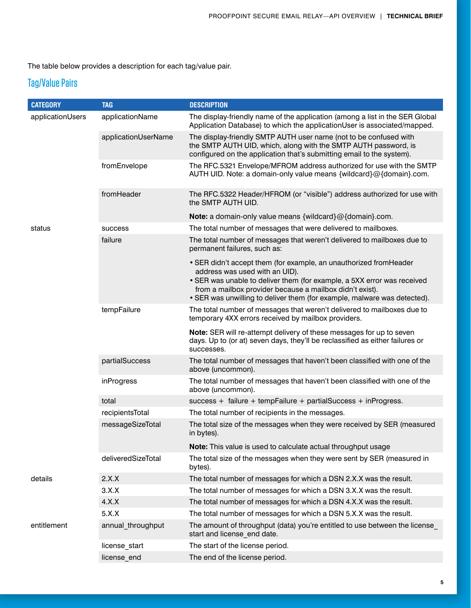The table below provides a description for each tag/value pair.

## Tag/Value Pairs

| <b>CATEGORY</b>  | <b>TAG</b>          | <b>DESCRIPTION</b>                                                                                                                                                                                                                          |
|------------------|---------------------|---------------------------------------------------------------------------------------------------------------------------------------------------------------------------------------------------------------------------------------------|
| applicationUsers | applicationName     | The display-friendly name of the application (among a list in the SER Global<br>Application Database) to which the applicationUser is associated/mapped.                                                                                    |
|                  | applicationUserName | The display-friendly SMTP AUTH user name (not to be confused with<br>the SMTP AUTH UID, which, along with the SMTP AUTH password, is<br>configured on the application that's submitting email to the system).                               |
|                  | fromEnvelope        | The RFC.5321 Envelope/MFROM address authorized for use with the SMTP<br>AUTH UID. Note: a domain-only value means {wildcard}@{domain}.com.                                                                                                  |
|                  | fromHeader          | The RFC.5322 Header/HFROM (or "visible") address authorized for use with<br>the SMTP AUTH UID.                                                                                                                                              |
|                  |                     | <b>Note:</b> a domain-only value means {wildcard}@{domain}.com.                                                                                                                                                                             |
| status           | success             | The total number of messages that were delivered to mailboxes.                                                                                                                                                                              |
|                  | failure             | The total number of messages that weren't delivered to mailboxes due to<br>permanent failures, such as:                                                                                                                                     |
|                  |                     | • SER didn't accept them (for example, an unauthorized from Header<br>address was used with an UID).<br>• SER was unable to deliver them (for example, a 5XX error was received<br>from a mailbox provider because a mailbox didn't exist). |
|                  |                     | • SER was unwilling to deliver them (for example, malware was detected).                                                                                                                                                                    |
|                  | tempFailure         | The total number of messages that weren't delivered to mailboxes due to<br>temporary 4XX errors received by mailbox providers.                                                                                                              |
|                  |                     | Note: SER will re-attempt delivery of these messages for up to seven<br>days. Up to (or at) seven days, they'll be reclassified as either failures or<br>successes.                                                                         |
|                  | partialSuccess      | The total number of messages that haven't been classified with one of the<br>above (uncommon).                                                                                                                                              |
|                  | inProgress          | The total number of messages that haven't been classified with one of the<br>above (uncommon).                                                                                                                                              |
|                  | total               | success + failure + tempFailure + partialSuccess + inProgress.                                                                                                                                                                              |
|                  | recipientsTotal     | The total number of recipients in the messages.                                                                                                                                                                                             |
|                  | messageSizeTotal    | The total size of the messages when they were received by SER (measured<br>in bytes).                                                                                                                                                       |
|                  |                     | Note: This value is used to calculate actual throughput usage                                                                                                                                                                               |
|                  | deliveredSizeTotal  | The total size of the messages when they were sent by SER (measured in<br>bytes).                                                                                                                                                           |
| details          | 2.X.X               | The total number of messages for which a DSN 2.X.X was the result.                                                                                                                                                                          |
|                  | 3.X.X               | The total number of messages for which a DSN 3.X.X was the result.                                                                                                                                                                          |
|                  | 4.X.X               | The total number of messages for which a DSN 4.X.X was the result.                                                                                                                                                                          |
|                  | 5.X.X               | The total number of messages for which a DSN 5.X.X was the result.                                                                                                                                                                          |
| entitlement      | annual_throughput   | The amount of throughput (data) you're entitled to use between the license<br>start and license end date.                                                                                                                                   |
|                  | license_start       | The start of the license period.                                                                                                                                                                                                            |
|                  | license_end         | The end of the license period.                                                                                                                                                                                                              |